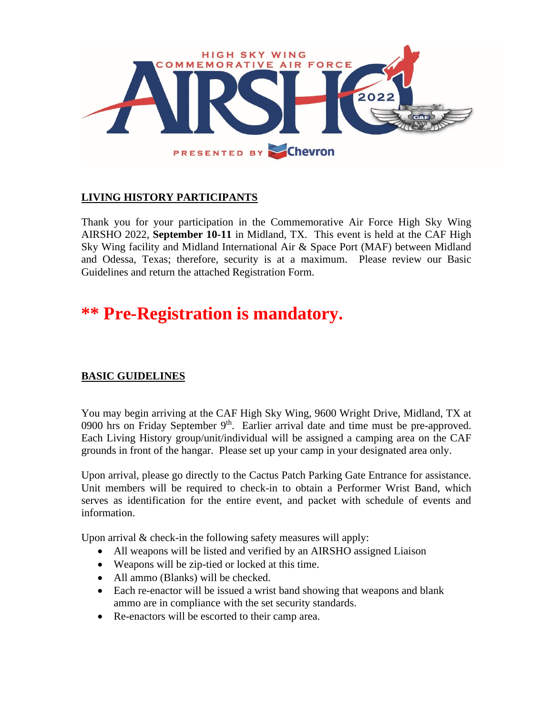

## **LIVING HISTORY PARTICIPANTS**

Thank you for your participation in the Commemorative Air Force High Sky Wing AIRSHO 2022, **September 10-11** in Midland, TX. This event is held at the CAF High Sky Wing facility and Midland International Air & Space Port (MAF) between Midland and Odessa, Texas; therefore, security is at a maximum. Please review our Basic Guidelines and return the attached Registration Form.

# **\*\* Pre-Registration is mandatory.**

## **BASIC GUIDELINES**

You may begin arriving at the CAF High Sky Wing, 9600 Wright Drive, Midland, TX at 0900 hrs on Friday September  $9<sup>th</sup>$ . Earlier arrival date and time must be pre-approved. Each Living History group/unit/individual will be assigned a camping area on the CAF grounds in front of the hangar. Please set up your camp in your designated area only.

Upon arrival, please go directly to the Cactus Patch Parking Gate Entrance for assistance. Unit members will be required to check-in to obtain a Performer Wrist Band, which serves as identification for the entire event, and packet with schedule of events and information.

Upon arrival & check-in the following safety measures will apply:

- All weapons will be listed and verified by an AIRSHO assigned Liaison
- Weapons will be zip-tied or locked at this time.
- All ammo (Blanks) will be checked.
- Each re-enactor will be issued a wrist band showing that weapons and blank ammo are in compliance with the set security standards.
- Re-enactors will be escorted to their camp area.